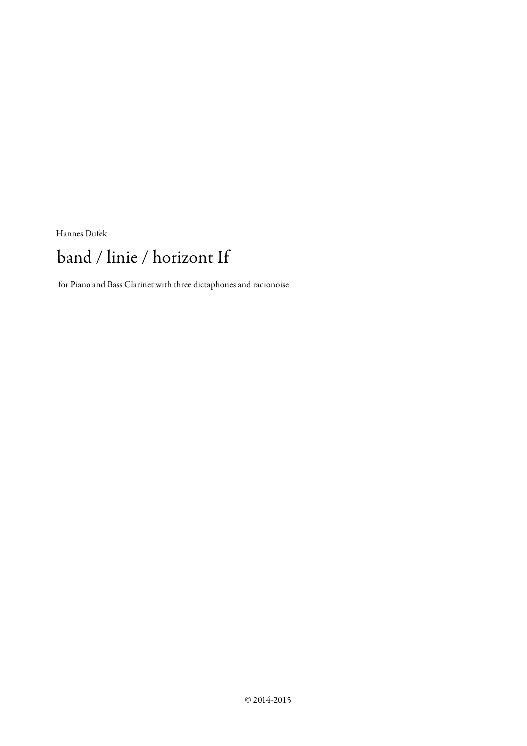Hannes Dufek

# band / linie / horizont If

for Piano and Bass Clarinet with three dictaphones and radionoise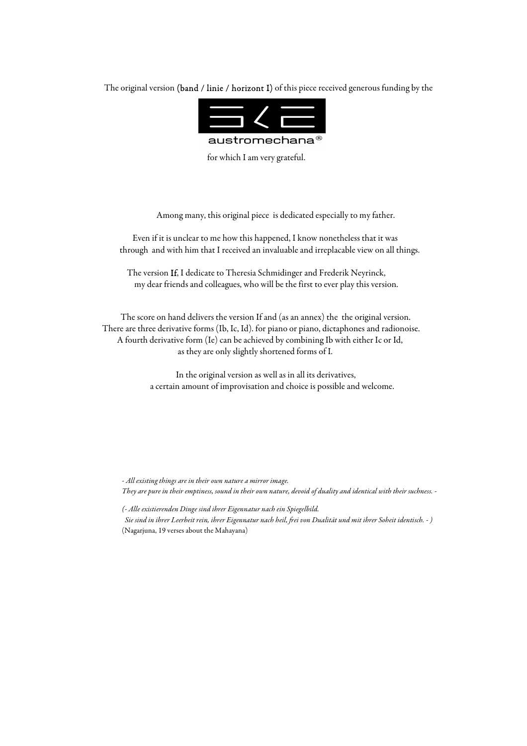The original version (band / linie / horizont I) of this piece received generous funding by the



for which I am very grateful.

Among many, this original piece is dedicated especially to my father.

 Even if it is unclear to me how this happened, I know nonetheless that it was through and with him that I received an invaluable and irreplacable view on all things.

 The version If, I dedicate to Theresia Schmidinger and Frederik Neyrinck, my dear friends and colleagues, who will be the first to ever play this version.

 The score on hand delivers the version If and (as an annex) the the original version. There are three derivative forms (Ib, Ic, Id). for piano or piano, dictaphones and radionoise. A fourth derivative form (Ie) can be achieved by combining Ib with either Ic or Id, as they are only slightly shortened forms of I.

> In the original version as well as in all its derivatives, a certain amount of improvisation and choice is possible and welcome.

- All existing things are in their own nature a mirror image. They are pure in their emptiness, sound in their own nature, devoid of duality and identical with their suchness. -

(- Alle existierenden Dinge sind ihrer Eigennatur nach ein Spiegelbild. Sie sind in ihrer Leerheit rein, ihrer Eigennatur nach heil, frei von Dualität und mit ihrer Soheit identisch. - ) (Nagarjuna, 19 verses about the Mahayana)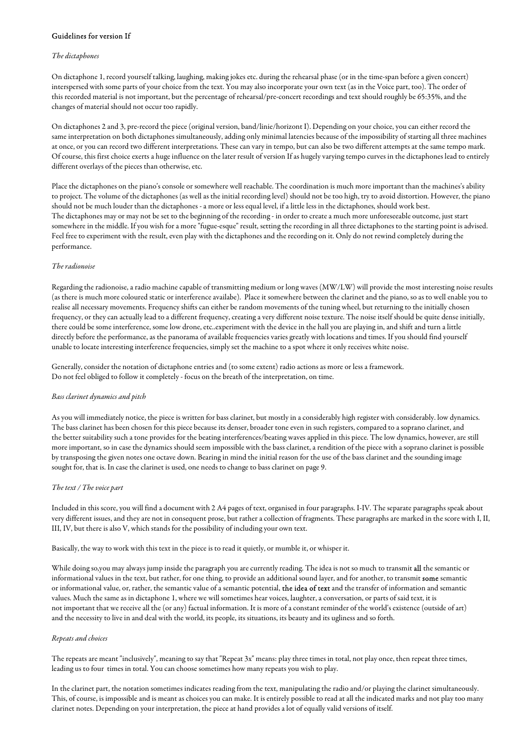## Guidelines for version If

#### The dictaphones

On dictaphone 1, record yourself talking, laughing, making jokes etc. during the rehearsal phase (or in the time-span before a given concert) interspersed with some parts of your choice from the text. You may also incorporate your own text (as in the Voice part, too). The order of this recorded material is not important, but the percentage of rehearsal/pre-concert recordings and text should roughly be 65:35%, and the changes of material should not occur too rapidly.

On dictaphones 2 and 3, pre-record the piece (original version, band/linie/horizont I). Depending on your choice, you can either record the same interpretation on both dictaphones simultaneously, adding only minimal latencies because of the impossibility of starting all three machines at once, or you can record two different interpretations. These can vary in tempo, but can also be two different attempts at the same tempo mark. Of course, this first choice exerts a huge influence on the later result of version If as hugely varying tempo curves in the dictaphones lead to entirely different overlays of the pieces than otherwise, etc.

Place the dictaphones on the piano's console or somewhere well reachable. The coordination is much more important than the machines's ability to project. The volume of the dictaphones (as well as the initial recording level) should not be too high, try to avoid distortion. However, the piano should not be much louder than the dictaphones - a more or less equal level, if a little less in the dictaphones, should work best. The dictaphones may or may not be set to the beginning of the recording - in order to create a much more unforeseeable outcome, just start somewhere in the middle. If you wish for a more "fugue-esque" result, setting the recording in all three dictaphones to the starting point is advised. Feel free to experiment with the result, even play with the dictaphones and the recording on it. Only do not rewind completely during the performance.

## The radionoise

Regarding the radionoise, a radio machine capable of transmitting medium or long waves (MW/LW) will provide the most interesting noise results (as there is much more coloured static or interference availabe). Place it somewhere between the clarinet and the piano, so as to well enable you to realise all necessary movements. Frequency shifts can either be random movements of the tuning wheel, but returning to the initially chosen frequency, or they can actually lead to a different frequency, creating a very different noise texture. The noise itself should be quite dense initially, there could be some interference, some low drone, etc..experiment with the device in the hall you are playing in, and shift and turn a little directly before the performance, as the panorama of available frequencies varies greatly with locations and times. If you should find yourself unable to locate interesting interference frequencies, simply set the machine to a spot where it only receives white noise.

Generally, consider the notation of dictaphone entries and (to some extent) radio actions as more or less a framework. Do not feel obliged to follow it completely - focus on the breath of the interpretation, on time.

#### Bass clarinet dynamics and pitch

As you will immediately notice, the piece is written for bass clarinet, but mostly in a considerably high register with considerably. low dynamics. The bass clarinet has been chosen for this piece because its denser, broader tone even in such registers, compared to a soprano clarinet, and the better suitability such a tone provides for the beating interferences/beating waves applied in this piece. The low dynamics, however, are still more important, so in case the dynamics should seem impossible with the bass clarinet, a rendition of the piece with a soprano clarinet is possible by transposing the given notes one octave down. Bearing in mind the initial reason for the use of the bass clarinet and the sounding image sought for, that is. In case the clarinet is used, one needs to change to bass clarinet on page 9.

#### The text / The voice part

Included in this score, you will find a document with 2 A4 pages of text, organised in four paragraphs. I-IV. The separate paragraphs speak about very different issues, and they are not in consequent prose, but rather a collection of fragments. These paragraphs are marked in the score with I, II, III, IV, but there is also V, which stands for the possibility of including your own text.

Basically, the way to work with this text in the piece is to read it quietly, or mumble it, or whisper it.

While doing so,you may always jump inside the paragraph you are currently reading. The idea is not so much to transmit all the semantic or informational values in the text, but rather, for one thing, to provide an additional sound layer, and for another, to transmit some semantic or informational value, or, rather, the semantic value of a semantic potential, the idea of text and the transfer of information and semantic values. Much the same as in dictaphone 1, where we will sometimes hear voices, laughter, a conversation, or parts of said text, it is not important that we receive all the (or any) factual information. It is more of a constant reminder of the world's existence (outside of art) and the necessity to live in and deal with the world, its people, its situations, its beauty and its ugliness and so forth.

#### Repeats and choices

The repeats are meant "inclusively", meaning to say that "Repeat 3x" means: play three times in total, not play once, then repeat three times, leading us to four times in total. You can choose sometimes how many repeats you wish to play.

In the clarinet part, the notation sometimes indicates reading from the text, manipulating the radio and/or playing the clarinet simultaneously. This, of course, is impossible and is meant as choices you can make. It is entirely possible to read at all the indicated marks and not play too many clarinet notes. Depending on your interpretation, the piece at hand provides a lot of equally valid versions of itself.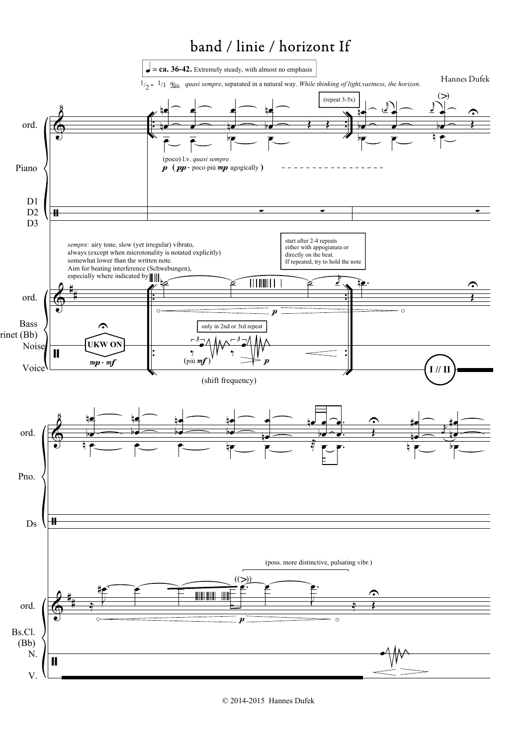# band / linie / horizont If



© 2014-2015 Hannes Dufek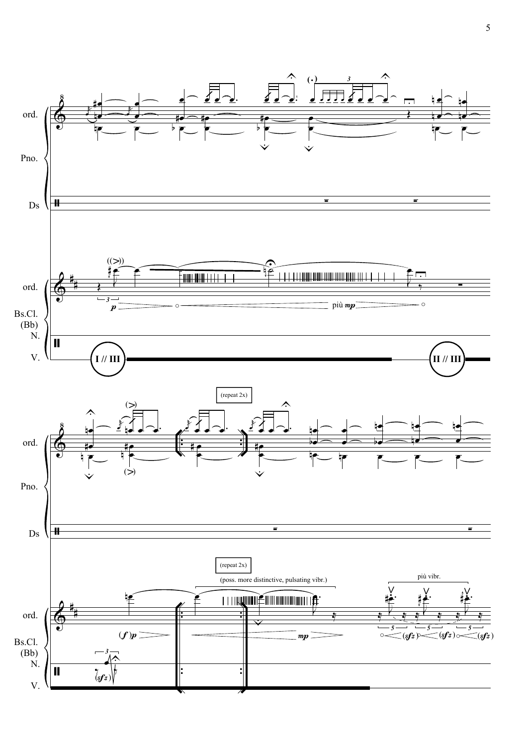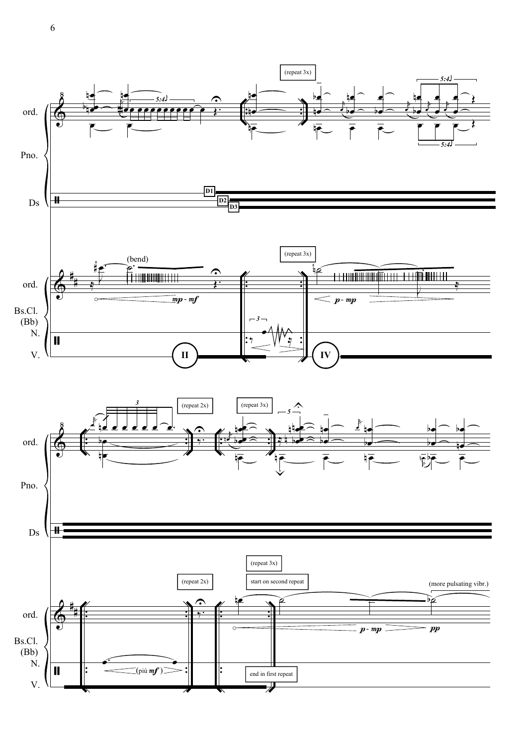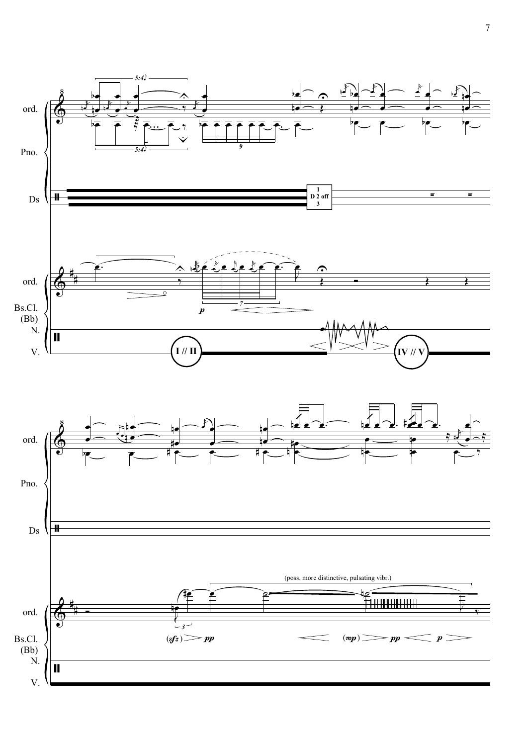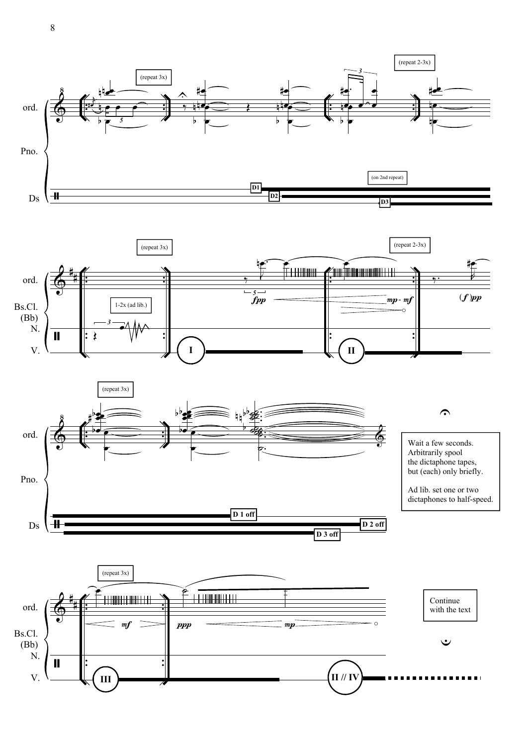





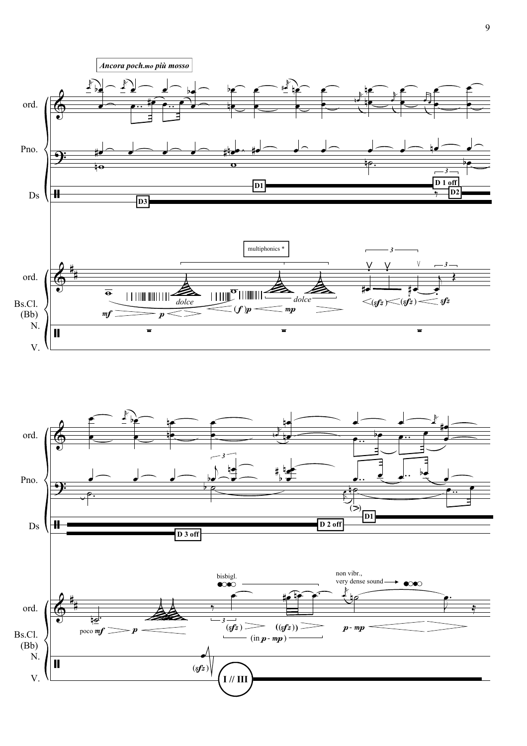

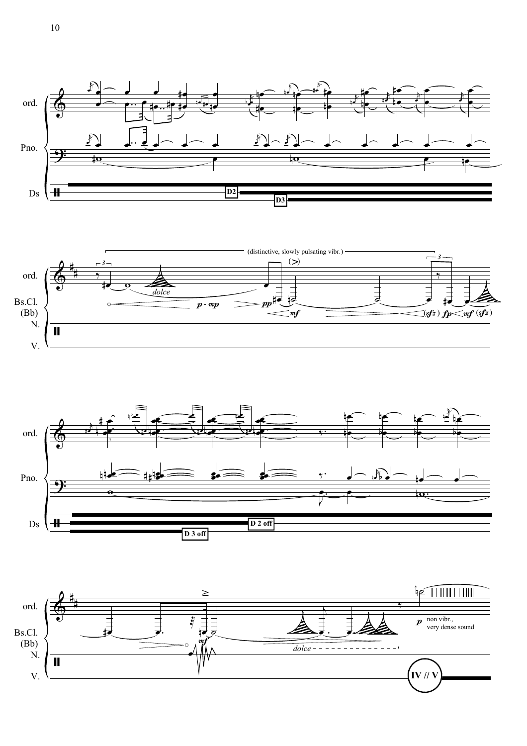